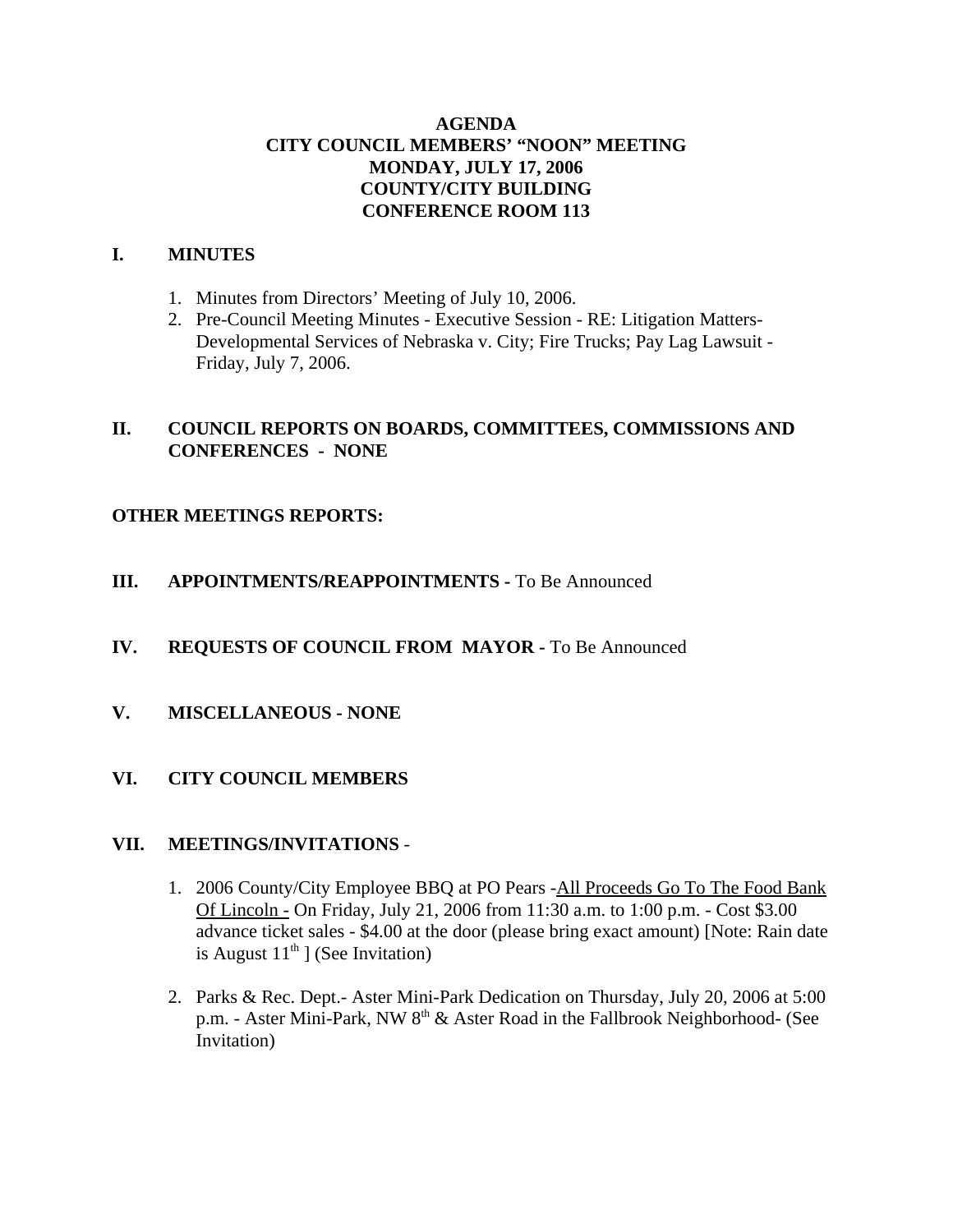# **AGENDA CITY COUNCIL MEMBERS' "NOON" MEETING MONDAY, JULY 17, 2006 COUNTY/CITY BUILDING CONFERENCE ROOM 113**

## **I. MINUTES**

- 1. Minutes from Directors' Meeting of July 10, 2006.
- 2. Pre-Council Meeting Minutes Executive Session RE: Litigation Matters-Developmental Services of Nebraska v. City; Fire Trucks; Pay Lag Lawsuit - Friday, July 7, 2006.

# **II. COUNCIL REPORTS ON BOARDS, COMMITTEES, COMMISSIONS AND CONFERENCES - NONE**

# **OTHER MEETINGS REPORTS:**

- **III.** APPOINTMENTS/REAPPOINTMENTS To Be Announced
- **IV. REQUESTS OF COUNCIL FROM MAYOR -** To Be Announced
- **V. MISCELLANEOUS NONE**

# **VI. CITY COUNCIL MEMBERS**

## **VII. MEETINGS/INVITATIONS** -

- 1. 2006 County/City Employee BBQ at PO Pears -All Proceeds Go To The Food Bank Of Lincoln - On Friday, July 21, 2006 from 11:30 a.m. to 1:00 p.m. - Cost \$3.00 advance ticket sales - \$4.00 at the door (please bring exact amount) [Note: Rain date is August  $11<sup>th</sup>$  ] (See Invitation)
- 2. Parks & Rec. Dept.- Aster Mini-Park Dedication on Thursday, July 20, 2006 at 5:00 p.m. - Aster Mini-Park, NW 8<sup>th</sup> & Aster Road in the Fallbrook Neighborhood- (See Invitation)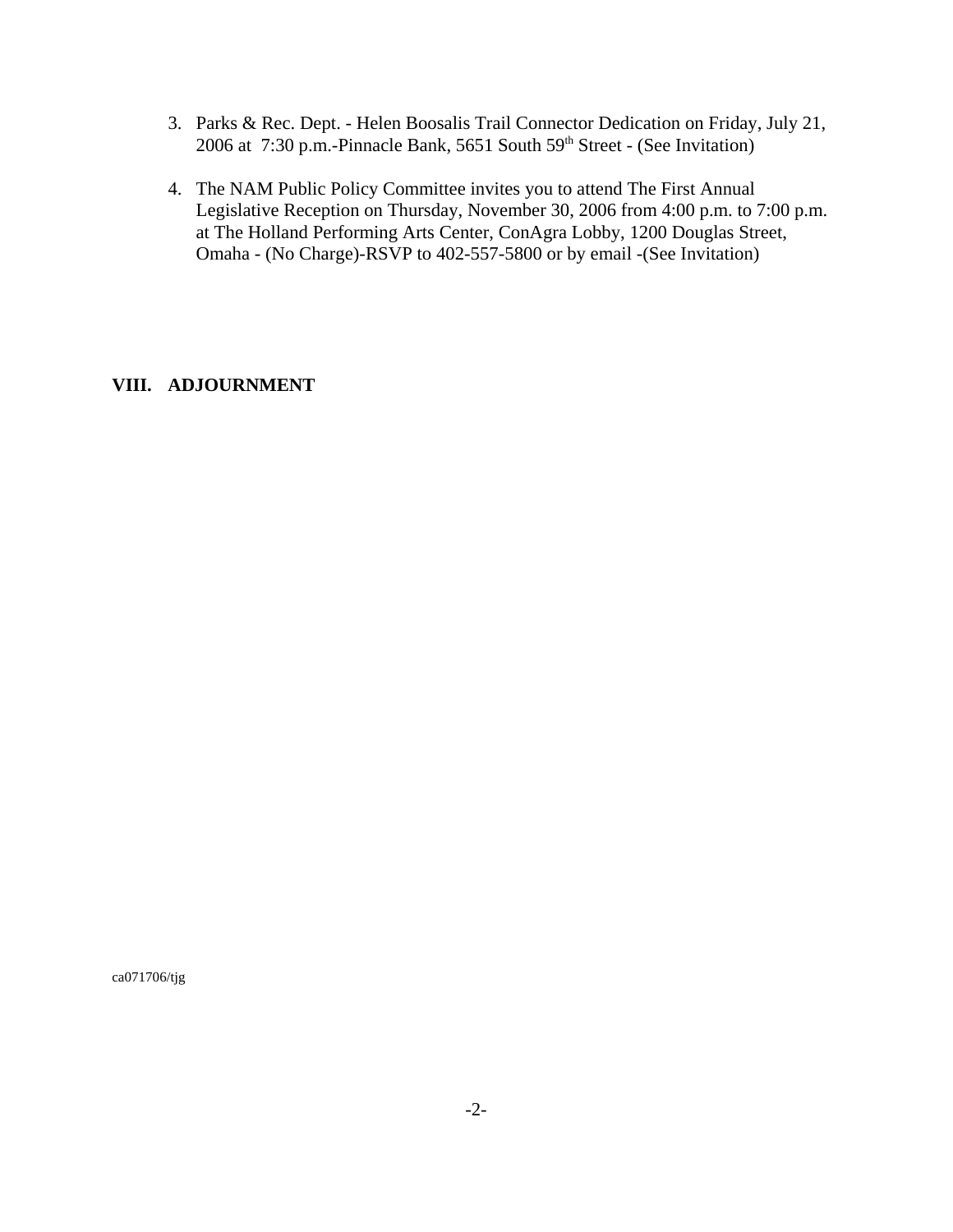- 3. Parks & Rec. Dept. Helen Boosalis Trail Connector Dedication on Friday, July 21, 2006 at 7:30 p.m.-Pinnacle Bank, 5651 South 59<sup>th</sup> Street - (See Invitation)
- 4. The NAM Public Policy Committee invites you to attend The First Annual Legislative Reception on Thursday, November 30, 2006 from 4:00 p.m. to 7:00 p.m. at The Holland Performing Arts Center, ConAgra Lobby, 1200 Douglas Street, Omaha - (No Charge)-RSVP to 402-557-5800 or by email -(See Invitation)

# **VIII. ADJOURNMENT**

ca071706/tjg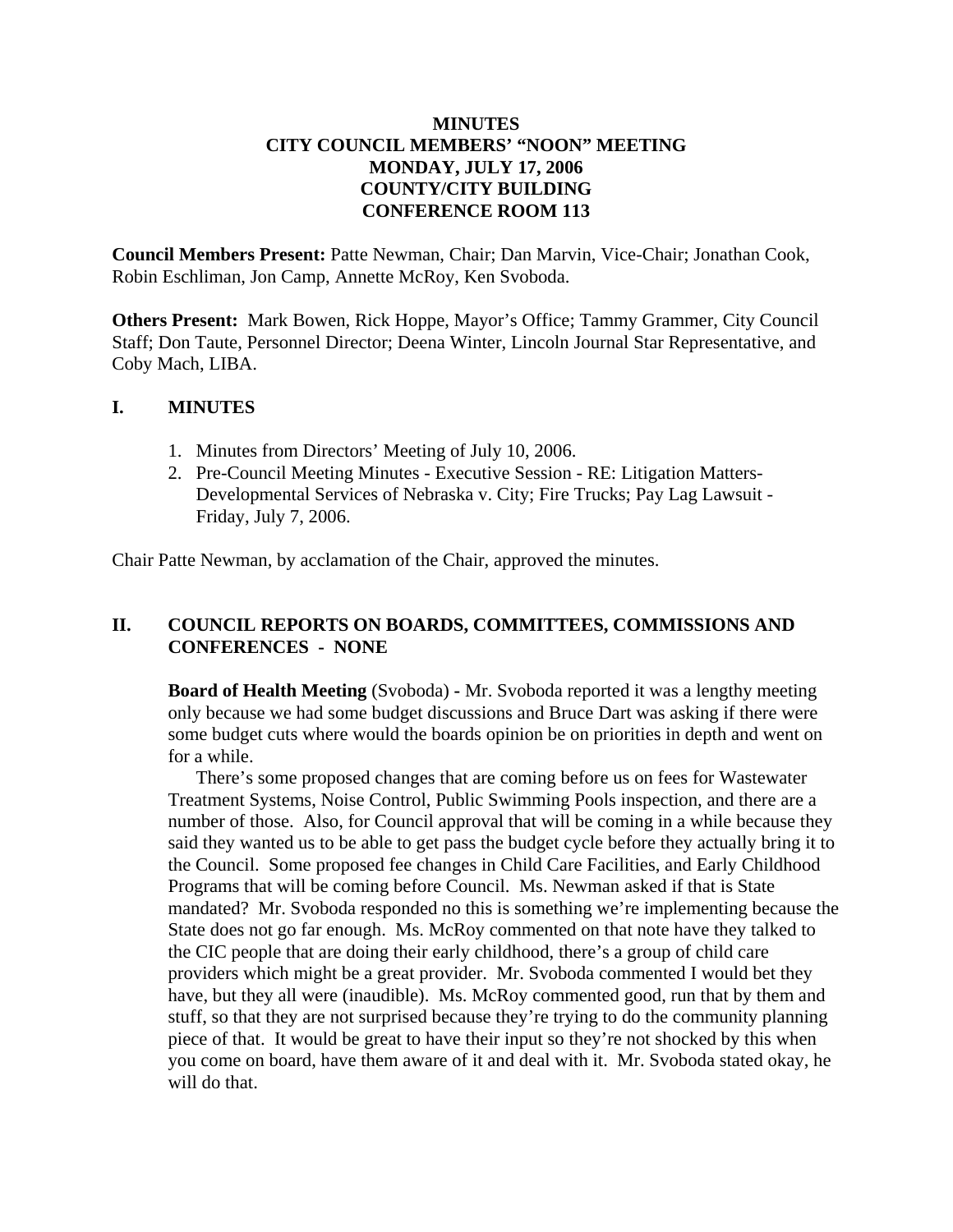# **MINUTES CITY COUNCIL MEMBERS' "NOON" MEETING MONDAY, JULY 17, 2006 COUNTY/CITY BUILDING CONFERENCE ROOM 113**

**Council Members Present:** Patte Newman, Chair; Dan Marvin, Vice-Chair; Jonathan Cook, Robin Eschliman, Jon Camp, Annette McRoy, Ken Svoboda.

**Others Present:** Mark Bowen, Rick Hoppe, Mayor's Office; Tammy Grammer, City Council Staff; Don Taute, Personnel Director; Deena Winter, Lincoln Journal Star Representative, and Coby Mach, LIBA.

## **I. MINUTES**

- 1. Minutes from Directors' Meeting of July 10, 2006.
- 2. Pre-Council Meeting Minutes Executive Session RE: Litigation Matters-Developmental Services of Nebraska v. City; Fire Trucks; Pay Lag Lawsuit - Friday, July 7, 2006.

Chair Patte Newman, by acclamation of the Chair, approved the minutes.

# **II. COUNCIL REPORTS ON BOARDS, COMMITTEES, COMMISSIONS AND CONFERENCES - NONE**

**Board of Health Meeting** (Svoboda) **-** Mr. Svoboda reported it was a lengthy meeting only because we had some budget discussions and Bruce Dart was asking if there were some budget cuts where would the boards opinion be on priorities in depth and went on for a while.

There's some proposed changes that are coming before us on fees for Wastewater Treatment Systems, Noise Control, Public Swimming Pools inspection, and there are a number of those. Also, for Council approval that will be coming in a while because they said they wanted us to be able to get pass the budget cycle before they actually bring it to the Council. Some proposed fee changes in Child Care Facilities, and Early Childhood Programs that will be coming before Council. Ms. Newman asked if that is State mandated? Mr. Svoboda responded no this is something we're implementing because the State does not go far enough. Ms. McRoy commented on that note have they talked to the CIC people that are doing their early childhood, there's a group of child care providers which might be a great provider. Mr. Svoboda commented I would bet they have, but they all were (inaudible). Ms. McRoy commented good, run that by them and stuff, so that they are not surprised because they're trying to do the community planning piece of that. It would be great to have their input so they're not shocked by this when you come on board, have them aware of it and deal with it. Mr. Svoboda stated okay, he will do that.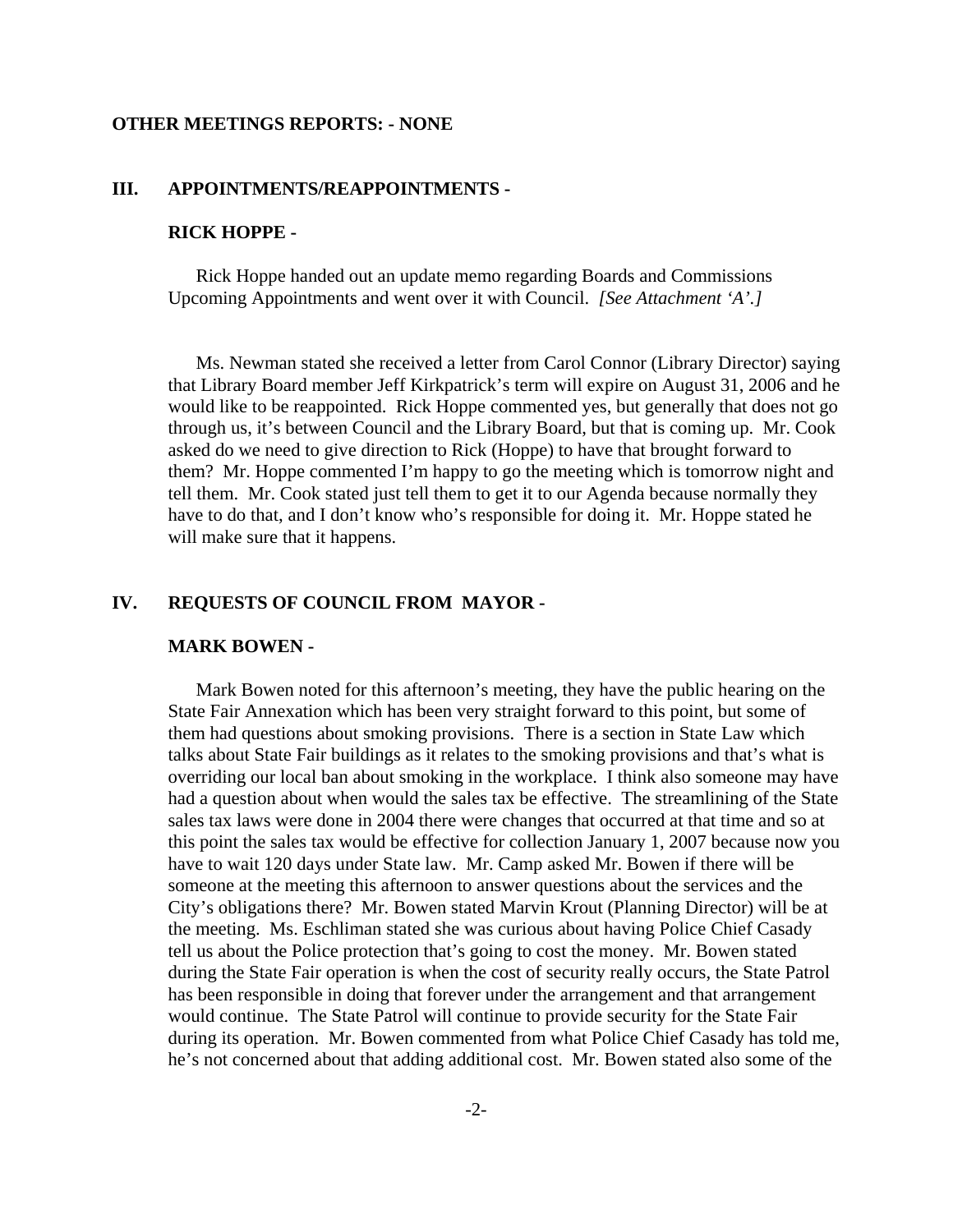### **OTHER MEETINGS REPORTS: - NONE**

## **III. APPOINTMENTS/REAPPOINTMENTS -**

### **RICK HOPPE -**

Rick Hoppe handed out an update memo regarding Boards and Commissions Upcoming Appointments and went over it with Council. *[See Attachment 'A'.]* 

Ms. Newman stated she received a letter from Carol Connor (Library Director) saying that Library Board member Jeff Kirkpatrick's term will expire on August 31, 2006 and he would like to be reappointed. Rick Hoppe commented yes, but generally that does not go through us, it's between Council and the Library Board, but that is coming up. Mr. Cook asked do we need to give direction to Rick (Hoppe) to have that brought forward to them? Mr. Hoppe commented I'm happy to go the meeting which is tomorrow night and tell them. Mr. Cook stated just tell them to get it to our Agenda because normally they have to do that, and I don't know who's responsible for doing it. Mr. Hoppe stated he will make sure that it happens.

## **IV. REQUESTS OF COUNCIL FROM MAYOR -**

#### **MARK BOWEN -**

Mark Bowen noted for this afternoon's meeting, they have the public hearing on the State Fair Annexation which has been very straight forward to this point, but some of them had questions about smoking provisions. There is a section in State Law which talks about State Fair buildings as it relates to the smoking provisions and that's what is overriding our local ban about smoking in the workplace. I think also someone may have had a question about when would the sales tax be effective. The streamlining of the State sales tax laws were done in 2004 there were changes that occurred at that time and so at this point the sales tax would be effective for collection January 1, 2007 because now you have to wait 120 days under State law. Mr. Camp asked Mr. Bowen if there will be someone at the meeting this afternoon to answer questions about the services and the City's obligations there? Mr. Bowen stated Marvin Krout (Planning Director) will be at the meeting. Ms. Eschliman stated she was curious about having Police Chief Casady tell us about the Police protection that's going to cost the money. Mr. Bowen stated during the State Fair operation is when the cost of security really occurs, the State Patrol has been responsible in doing that forever under the arrangement and that arrangement would continue. The State Patrol will continue to provide security for the State Fair during its operation. Mr. Bowen commented from what Police Chief Casady has told me, he's not concerned about that adding additional cost. Mr. Bowen stated also some of the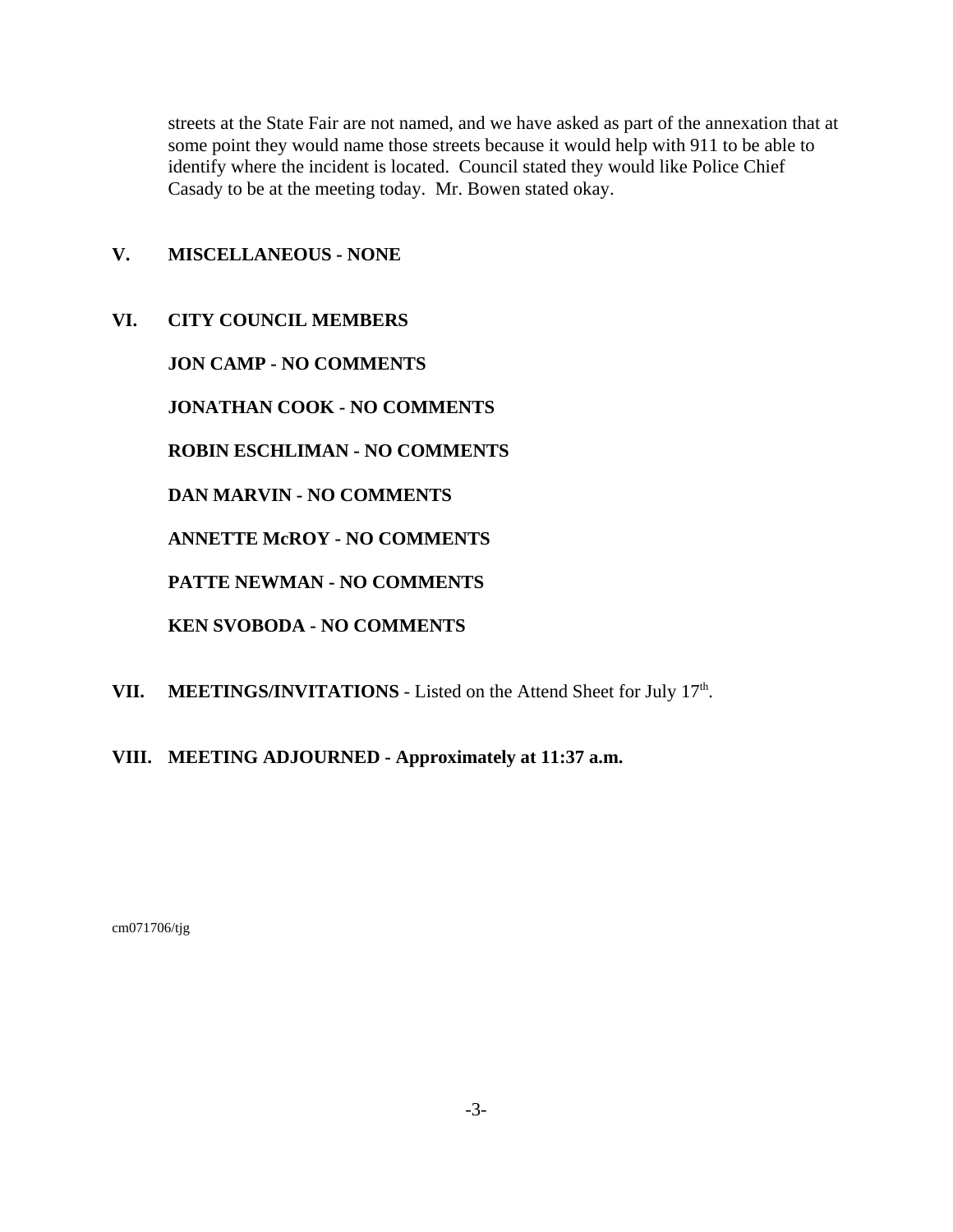streets at the State Fair are not named, and we have asked as part of the annexation that at some point they would name those streets because it would help with 911 to be able to identify where the incident is located. Council stated they would like Police Chief Casady to be at the meeting today. Mr. Bowen stated okay.

# **V. MISCELLANEOUS - NONE**

**VI. CITY COUNCIL MEMBERS**

**JON CAMP - NO COMMENTS** 

**JONATHAN COOK - NO COMMENTS** 

**ROBIN ESCHLIMAN - NO COMMENTS**

**DAN MARVIN - NO COMMENTS** 

**ANNETTE McROY - NO COMMENTS** 

**PATTE NEWMAN - NO COMMENTS**

**KEN SVOBODA - NO COMMENTS** 

- **VII.** MEETINGS/INVITATIONS Listed on the Attend Sheet for July  $17<sup>th</sup>$ .
- **VIII. MEETING ADJOURNED Approximately at 11:37 a.m.**

cm071706/tjg